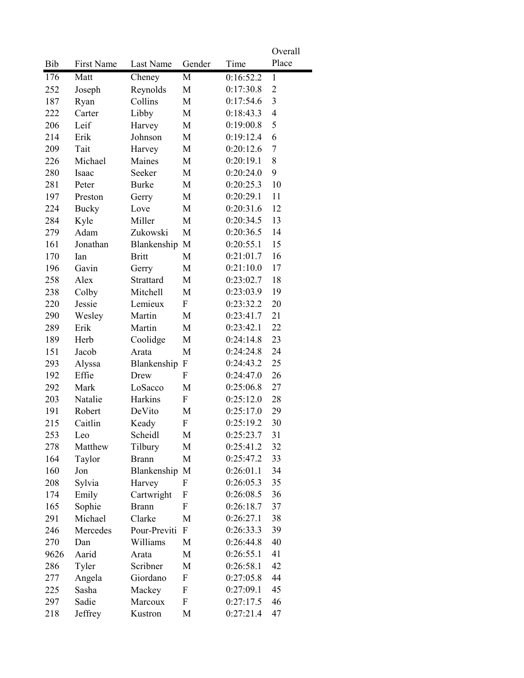| Place<br>Bib<br>First Name<br>Last Name<br>Gender<br>Time<br>M<br>0:16:52.2<br>176<br>Matt<br>$\mathbf{1}$<br>Cheney<br>Reynolds<br>0:17:30.8<br>$\overline{2}$<br>252<br>M<br>Joseph<br>3<br>Collins<br>0:17:54.6<br>187<br>Ryan<br>M<br>$\overline{4}$<br>M<br>0:18:43.3<br>222<br>Carter<br>Libby<br>5<br>Leif<br>0:19:00.8<br>206<br>Harvey<br>M<br>6<br>214<br>Johnson<br>0:19:12.4<br>Erik<br>M<br>$\overline{7}$<br>209<br>Tait<br>0:20:12.6<br>M<br>Harvey<br>Michael<br>Maines<br>8<br>226<br>M<br>0:20:19.1<br>9<br>0:20:24.0<br>280<br>Isaac<br>Seeker<br>M<br>10<br>281<br>0:20:25.3<br>Peter<br><b>Burke</b><br>M<br>0:20:29.1<br>11<br>197<br>Preston<br>Gerry<br>M<br>0:20:31.6<br>224<br>12<br><b>Bucky</b><br>Love<br>M<br>13<br>284<br>Miller<br>M<br>0:20:34.5<br>Kyle<br>14<br>Adam<br>Zukowski<br>0:20:36.5<br>279<br>M<br>161<br>Jonathan<br>Blankenship M<br>0:20:55.1<br>15<br>170<br>0:21:01.7<br>16<br><b>Britt</b><br>M<br>Ian<br>196<br>Gavin<br>M<br>0:21:10.0<br>17<br>Gerry<br>258<br>Alex<br>Strattard<br>0:23:02.7<br>18<br>M<br>Mitchell<br>0:23:03.9<br>19<br>238<br>Colby<br>M<br>Jessie<br>20<br>Lemieux<br>$\mathbf{F}$<br>0:23:32.2<br>220<br>0:23:41.7<br>21<br>290<br>Wesley<br>Martin<br>M<br>22<br>Martin<br>0:23:42.1<br>289<br>Erik<br>M<br>23<br>189<br>Coolidge<br>Herb<br>M<br>0:24:14.8<br>151<br>24<br>Jacob<br>Arata<br>M<br>0:24:24.8<br>25<br>293<br>Blankenship<br>0:24:43.2<br>Alyssa<br>F<br>26<br>192<br>Effie<br>0:24:47.0<br>Drew<br>F<br>0:25:06.8<br>27<br>292<br>Mark<br>LoSacco<br>M<br>28<br>203<br>Natalie<br>Harkins<br>F<br>0:25:12.0<br>29<br>191<br>Robert<br>DeVito<br>M<br>0:25:17.0<br>30<br>Caitlin<br>$\mathbf F$<br>0:25:19.2<br>215<br>Keady<br>31<br>253<br>Leo<br>Scheidl<br>M<br>0:25:23.7<br>32<br>M<br>278<br>Matthew<br>Tilbury<br>0:25:41.2<br>33<br>164<br>Taylor<br>0:25:47.2<br><b>Brann</b><br>M<br>34<br>160<br>Blankenship<br>0:26:01.1<br>Jon<br>M<br>35<br>208<br>0:26:05.3<br>Sylvia<br>Harvey<br>F<br>36<br>0:26:08.5<br>Emily<br>Cartwright<br>F<br>174<br>Sophie<br>0:26:18.7<br>37<br>165<br><b>Brann</b><br>F<br>38<br>291<br>Michael<br>Clarke<br>0:26:27.1<br>M<br>39<br>246<br>Mercedes<br>Pour-Previti<br>$\mathbf{F}$<br>0:26:33.3<br>Williams<br>0:26:44.8<br>40<br>270<br>Dan<br>М<br>9626<br>41<br>Aarid<br>M<br>0:26:55.1<br>Arata<br>Scribner<br>42<br>286<br>Tyler<br>M<br>0:26:58.1<br>44<br>Angela<br>Giordano<br>0:27:05.8<br>277<br>F<br>45<br>0:27:09.1<br>225<br>Sasha<br>Mackey<br>F<br>46<br>Sadie<br>Marcoux<br>0:27:17.5<br>297<br>F<br>0:27:21.4<br>47<br>218<br>Jeffrey<br>Kustron<br>М |  |  | Overall |
|-----------------------------------------------------------------------------------------------------------------------------------------------------------------------------------------------------------------------------------------------------------------------------------------------------------------------------------------------------------------------------------------------------------------------------------------------------------------------------------------------------------------------------------------------------------------------------------------------------------------------------------------------------------------------------------------------------------------------------------------------------------------------------------------------------------------------------------------------------------------------------------------------------------------------------------------------------------------------------------------------------------------------------------------------------------------------------------------------------------------------------------------------------------------------------------------------------------------------------------------------------------------------------------------------------------------------------------------------------------------------------------------------------------------------------------------------------------------------------------------------------------------------------------------------------------------------------------------------------------------------------------------------------------------------------------------------------------------------------------------------------------------------------------------------------------------------------------------------------------------------------------------------------------------------------------------------------------------------------------------------------------------------------------------------------------------------------------------------------------------------------------------------------------------------------------------------------------------------------------------------------------------------------------------------------------------------------------------------------------------------------------------------------------------------------------------------------------------------------------------------------------------------------------------------------------------------------------------------------------------|--|--|---------|
|                                                                                                                                                                                                                                                                                                                                                                                                                                                                                                                                                                                                                                                                                                                                                                                                                                                                                                                                                                                                                                                                                                                                                                                                                                                                                                                                                                                                                                                                                                                                                                                                                                                                                                                                                                                                                                                                                                                                                                                                                                                                                                                                                                                                                                                                                                                                                                                                                                                                                                                                                                                                                 |  |  |         |
|                                                                                                                                                                                                                                                                                                                                                                                                                                                                                                                                                                                                                                                                                                                                                                                                                                                                                                                                                                                                                                                                                                                                                                                                                                                                                                                                                                                                                                                                                                                                                                                                                                                                                                                                                                                                                                                                                                                                                                                                                                                                                                                                                                                                                                                                                                                                                                                                                                                                                                                                                                                                                 |  |  |         |
|                                                                                                                                                                                                                                                                                                                                                                                                                                                                                                                                                                                                                                                                                                                                                                                                                                                                                                                                                                                                                                                                                                                                                                                                                                                                                                                                                                                                                                                                                                                                                                                                                                                                                                                                                                                                                                                                                                                                                                                                                                                                                                                                                                                                                                                                                                                                                                                                                                                                                                                                                                                                                 |  |  |         |
|                                                                                                                                                                                                                                                                                                                                                                                                                                                                                                                                                                                                                                                                                                                                                                                                                                                                                                                                                                                                                                                                                                                                                                                                                                                                                                                                                                                                                                                                                                                                                                                                                                                                                                                                                                                                                                                                                                                                                                                                                                                                                                                                                                                                                                                                                                                                                                                                                                                                                                                                                                                                                 |  |  |         |
|                                                                                                                                                                                                                                                                                                                                                                                                                                                                                                                                                                                                                                                                                                                                                                                                                                                                                                                                                                                                                                                                                                                                                                                                                                                                                                                                                                                                                                                                                                                                                                                                                                                                                                                                                                                                                                                                                                                                                                                                                                                                                                                                                                                                                                                                                                                                                                                                                                                                                                                                                                                                                 |  |  |         |
|                                                                                                                                                                                                                                                                                                                                                                                                                                                                                                                                                                                                                                                                                                                                                                                                                                                                                                                                                                                                                                                                                                                                                                                                                                                                                                                                                                                                                                                                                                                                                                                                                                                                                                                                                                                                                                                                                                                                                                                                                                                                                                                                                                                                                                                                                                                                                                                                                                                                                                                                                                                                                 |  |  |         |
|                                                                                                                                                                                                                                                                                                                                                                                                                                                                                                                                                                                                                                                                                                                                                                                                                                                                                                                                                                                                                                                                                                                                                                                                                                                                                                                                                                                                                                                                                                                                                                                                                                                                                                                                                                                                                                                                                                                                                                                                                                                                                                                                                                                                                                                                                                                                                                                                                                                                                                                                                                                                                 |  |  |         |
|                                                                                                                                                                                                                                                                                                                                                                                                                                                                                                                                                                                                                                                                                                                                                                                                                                                                                                                                                                                                                                                                                                                                                                                                                                                                                                                                                                                                                                                                                                                                                                                                                                                                                                                                                                                                                                                                                                                                                                                                                                                                                                                                                                                                                                                                                                                                                                                                                                                                                                                                                                                                                 |  |  |         |
|                                                                                                                                                                                                                                                                                                                                                                                                                                                                                                                                                                                                                                                                                                                                                                                                                                                                                                                                                                                                                                                                                                                                                                                                                                                                                                                                                                                                                                                                                                                                                                                                                                                                                                                                                                                                                                                                                                                                                                                                                                                                                                                                                                                                                                                                                                                                                                                                                                                                                                                                                                                                                 |  |  |         |
|                                                                                                                                                                                                                                                                                                                                                                                                                                                                                                                                                                                                                                                                                                                                                                                                                                                                                                                                                                                                                                                                                                                                                                                                                                                                                                                                                                                                                                                                                                                                                                                                                                                                                                                                                                                                                                                                                                                                                                                                                                                                                                                                                                                                                                                                                                                                                                                                                                                                                                                                                                                                                 |  |  |         |
|                                                                                                                                                                                                                                                                                                                                                                                                                                                                                                                                                                                                                                                                                                                                                                                                                                                                                                                                                                                                                                                                                                                                                                                                                                                                                                                                                                                                                                                                                                                                                                                                                                                                                                                                                                                                                                                                                                                                                                                                                                                                                                                                                                                                                                                                                                                                                                                                                                                                                                                                                                                                                 |  |  |         |
|                                                                                                                                                                                                                                                                                                                                                                                                                                                                                                                                                                                                                                                                                                                                                                                                                                                                                                                                                                                                                                                                                                                                                                                                                                                                                                                                                                                                                                                                                                                                                                                                                                                                                                                                                                                                                                                                                                                                                                                                                                                                                                                                                                                                                                                                                                                                                                                                                                                                                                                                                                                                                 |  |  |         |
|                                                                                                                                                                                                                                                                                                                                                                                                                                                                                                                                                                                                                                                                                                                                                                                                                                                                                                                                                                                                                                                                                                                                                                                                                                                                                                                                                                                                                                                                                                                                                                                                                                                                                                                                                                                                                                                                                                                                                                                                                                                                                                                                                                                                                                                                                                                                                                                                                                                                                                                                                                                                                 |  |  |         |
|                                                                                                                                                                                                                                                                                                                                                                                                                                                                                                                                                                                                                                                                                                                                                                                                                                                                                                                                                                                                                                                                                                                                                                                                                                                                                                                                                                                                                                                                                                                                                                                                                                                                                                                                                                                                                                                                                                                                                                                                                                                                                                                                                                                                                                                                                                                                                                                                                                                                                                                                                                                                                 |  |  |         |
|                                                                                                                                                                                                                                                                                                                                                                                                                                                                                                                                                                                                                                                                                                                                                                                                                                                                                                                                                                                                                                                                                                                                                                                                                                                                                                                                                                                                                                                                                                                                                                                                                                                                                                                                                                                                                                                                                                                                                                                                                                                                                                                                                                                                                                                                                                                                                                                                                                                                                                                                                                                                                 |  |  |         |
|                                                                                                                                                                                                                                                                                                                                                                                                                                                                                                                                                                                                                                                                                                                                                                                                                                                                                                                                                                                                                                                                                                                                                                                                                                                                                                                                                                                                                                                                                                                                                                                                                                                                                                                                                                                                                                                                                                                                                                                                                                                                                                                                                                                                                                                                                                                                                                                                                                                                                                                                                                                                                 |  |  |         |
|                                                                                                                                                                                                                                                                                                                                                                                                                                                                                                                                                                                                                                                                                                                                                                                                                                                                                                                                                                                                                                                                                                                                                                                                                                                                                                                                                                                                                                                                                                                                                                                                                                                                                                                                                                                                                                                                                                                                                                                                                                                                                                                                                                                                                                                                                                                                                                                                                                                                                                                                                                                                                 |  |  |         |
|                                                                                                                                                                                                                                                                                                                                                                                                                                                                                                                                                                                                                                                                                                                                                                                                                                                                                                                                                                                                                                                                                                                                                                                                                                                                                                                                                                                                                                                                                                                                                                                                                                                                                                                                                                                                                                                                                                                                                                                                                                                                                                                                                                                                                                                                                                                                                                                                                                                                                                                                                                                                                 |  |  |         |
|                                                                                                                                                                                                                                                                                                                                                                                                                                                                                                                                                                                                                                                                                                                                                                                                                                                                                                                                                                                                                                                                                                                                                                                                                                                                                                                                                                                                                                                                                                                                                                                                                                                                                                                                                                                                                                                                                                                                                                                                                                                                                                                                                                                                                                                                                                                                                                                                                                                                                                                                                                                                                 |  |  |         |
|                                                                                                                                                                                                                                                                                                                                                                                                                                                                                                                                                                                                                                                                                                                                                                                                                                                                                                                                                                                                                                                                                                                                                                                                                                                                                                                                                                                                                                                                                                                                                                                                                                                                                                                                                                                                                                                                                                                                                                                                                                                                                                                                                                                                                                                                                                                                                                                                                                                                                                                                                                                                                 |  |  |         |
|                                                                                                                                                                                                                                                                                                                                                                                                                                                                                                                                                                                                                                                                                                                                                                                                                                                                                                                                                                                                                                                                                                                                                                                                                                                                                                                                                                                                                                                                                                                                                                                                                                                                                                                                                                                                                                                                                                                                                                                                                                                                                                                                                                                                                                                                                                                                                                                                                                                                                                                                                                                                                 |  |  |         |
|                                                                                                                                                                                                                                                                                                                                                                                                                                                                                                                                                                                                                                                                                                                                                                                                                                                                                                                                                                                                                                                                                                                                                                                                                                                                                                                                                                                                                                                                                                                                                                                                                                                                                                                                                                                                                                                                                                                                                                                                                                                                                                                                                                                                                                                                                                                                                                                                                                                                                                                                                                                                                 |  |  |         |
|                                                                                                                                                                                                                                                                                                                                                                                                                                                                                                                                                                                                                                                                                                                                                                                                                                                                                                                                                                                                                                                                                                                                                                                                                                                                                                                                                                                                                                                                                                                                                                                                                                                                                                                                                                                                                                                                                                                                                                                                                                                                                                                                                                                                                                                                                                                                                                                                                                                                                                                                                                                                                 |  |  |         |
|                                                                                                                                                                                                                                                                                                                                                                                                                                                                                                                                                                                                                                                                                                                                                                                                                                                                                                                                                                                                                                                                                                                                                                                                                                                                                                                                                                                                                                                                                                                                                                                                                                                                                                                                                                                                                                                                                                                                                                                                                                                                                                                                                                                                                                                                                                                                                                                                                                                                                                                                                                                                                 |  |  |         |
|                                                                                                                                                                                                                                                                                                                                                                                                                                                                                                                                                                                                                                                                                                                                                                                                                                                                                                                                                                                                                                                                                                                                                                                                                                                                                                                                                                                                                                                                                                                                                                                                                                                                                                                                                                                                                                                                                                                                                                                                                                                                                                                                                                                                                                                                                                                                                                                                                                                                                                                                                                                                                 |  |  |         |
|                                                                                                                                                                                                                                                                                                                                                                                                                                                                                                                                                                                                                                                                                                                                                                                                                                                                                                                                                                                                                                                                                                                                                                                                                                                                                                                                                                                                                                                                                                                                                                                                                                                                                                                                                                                                                                                                                                                                                                                                                                                                                                                                                                                                                                                                                                                                                                                                                                                                                                                                                                                                                 |  |  |         |
|                                                                                                                                                                                                                                                                                                                                                                                                                                                                                                                                                                                                                                                                                                                                                                                                                                                                                                                                                                                                                                                                                                                                                                                                                                                                                                                                                                                                                                                                                                                                                                                                                                                                                                                                                                                                                                                                                                                                                                                                                                                                                                                                                                                                                                                                                                                                                                                                                                                                                                                                                                                                                 |  |  |         |
|                                                                                                                                                                                                                                                                                                                                                                                                                                                                                                                                                                                                                                                                                                                                                                                                                                                                                                                                                                                                                                                                                                                                                                                                                                                                                                                                                                                                                                                                                                                                                                                                                                                                                                                                                                                                                                                                                                                                                                                                                                                                                                                                                                                                                                                                                                                                                                                                                                                                                                                                                                                                                 |  |  |         |
|                                                                                                                                                                                                                                                                                                                                                                                                                                                                                                                                                                                                                                                                                                                                                                                                                                                                                                                                                                                                                                                                                                                                                                                                                                                                                                                                                                                                                                                                                                                                                                                                                                                                                                                                                                                                                                                                                                                                                                                                                                                                                                                                                                                                                                                                                                                                                                                                                                                                                                                                                                                                                 |  |  |         |
|                                                                                                                                                                                                                                                                                                                                                                                                                                                                                                                                                                                                                                                                                                                                                                                                                                                                                                                                                                                                                                                                                                                                                                                                                                                                                                                                                                                                                                                                                                                                                                                                                                                                                                                                                                                                                                                                                                                                                                                                                                                                                                                                                                                                                                                                                                                                                                                                                                                                                                                                                                                                                 |  |  |         |
|                                                                                                                                                                                                                                                                                                                                                                                                                                                                                                                                                                                                                                                                                                                                                                                                                                                                                                                                                                                                                                                                                                                                                                                                                                                                                                                                                                                                                                                                                                                                                                                                                                                                                                                                                                                                                                                                                                                                                                                                                                                                                                                                                                                                                                                                                                                                                                                                                                                                                                                                                                                                                 |  |  |         |
|                                                                                                                                                                                                                                                                                                                                                                                                                                                                                                                                                                                                                                                                                                                                                                                                                                                                                                                                                                                                                                                                                                                                                                                                                                                                                                                                                                                                                                                                                                                                                                                                                                                                                                                                                                                                                                                                                                                                                                                                                                                                                                                                                                                                                                                                                                                                                                                                                                                                                                                                                                                                                 |  |  |         |
|                                                                                                                                                                                                                                                                                                                                                                                                                                                                                                                                                                                                                                                                                                                                                                                                                                                                                                                                                                                                                                                                                                                                                                                                                                                                                                                                                                                                                                                                                                                                                                                                                                                                                                                                                                                                                                                                                                                                                                                                                                                                                                                                                                                                                                                                                                                                                                                                                                                                                                                                                                                                                 |  |  |         |
|                                                                                                                                                                                                                                                                                                                                                                                                                                                                                                                                                                                                                                                                                                                                                                                                                                                                                                                                                                                                                                                                                                                                                                                                                                                                                                                                                                                                                                                                                                                                                                                                                                                                                                                                                                                                                                                                                                                                                                                                                                                                                                                                                                                                                                                                                                                                                                                                                                                                                                                                                                                                                 |  |  |         |
|                                                                                                                                                                                                                                                                                                                                                                                                                                                                                                                                                                                                                                                                                                                                                                                                                                                                                                                                                                                                                                                                                                                                                                                                                                                                                                                                                                                                                                                                                                                                                                                                                                                                                                                                                                                                                                                                                                                                                                                                                                                                                                                                                                                                                                                                                                                                                                                                                                                                                                                                                                                                                 |  |  |         |
|                                                                                                                                                                                                                                                                                                                                                                                                                                                                                                                                                                                                                                                                                                                                                                                                                                                                                                                                                                                                                                                                                                                                                                                                                                                                                                                                                                                                                                                                                                                                                                                                                                                                                                                                                                                                                                                                                                                                                                                                                                                                                                                                                                                                                                                                                                                                                                                                                                                                                                                                                                                                                 |  |  |         |
|                                                                                                                                                                                                                                                                                                                                                                                                                                                                                                                                                                                                                                                                                                                                                                                                                                                                                                                                                                                                                                                                                                                                                                                                                                                                                                                                                                                                                                                                                                                                                                                                                                                                                                                                                                                                                                                                                                                                                                                                                                                                                                                                                                                                                                                                                                                                                                                                                                                                                                                                                                                                                 |  |  |         |
|                                                                                                                                                                                                                                                                                                                                                                                                                                                                                                                                                                                                                                                                                                                                                                                                                                                                                                                                                                                                                                                                                                                                                                                                                                                                                                                                                                                                                                                                                                                                                                                                                                                                                                                                                                                                                                                                                                                                                                                                                                                                                                                                                                                                                                                                                                                                                                                                                                                                                                                                                                                                                 |  |  |         |
|                                                                                                                                                                                                                                                                                                                                                                                                                                                                                                                                                                                                                                                                                                                                                                                                                                                                                                                                                                                                                                                                                                                                                                                                                                                                                                                                                                                                                                                                                                                                                                                                                                                                                                                                                                                                                                                                                                                                                                                                                                                                                                                                                                                                                                                                                                                                                                                                                                                                                                                                                                                                                 |  |  |         |
|                                                                                                                                                                                                                                                                                                                                                                                                                                                                                                                                                                                                                                                                                                                                                                                                                                                                                                                                                                                                                                                                                                                                                                                                                                                                                                                                                                                                                                                                                                                                                                                                                                                                                                                                                                                                                                                                                                                                                                                                                                                                                                                                                                                                                                                                                                                                                                                                                                                                                                                                                                                                                 |  |  |         |
|                                                                                                                                                                                                                                                                                                                                                                                                                                                                                                                                                                                                                                                                                                                                                                                                                                                                                                                                                                                                                                                                                                                                                                                                                                                                                                                                                                                                                                                                                                                                                                                                                                                                                                                                                                                                                                                                                                                                                                                                                                                                                                                                                                                                                                                                                                                                                                                                                                                                                                                                                                                                                 |  |  |         |
|                                                                                                                                                                                                                                                                                                                                                                                                                                                                                                                                                                                                                                                                                                                                                                                                                                                                                                                                                                                                                                                                                                                                                                                                                                                                                                                                                                                                                                                                                                                                                                                                                                                                                                                                                                                                                                                                                                                                                                                                                                                                                                                                                                                                                                                                                                                                                                                                                                                                                                                                                                                                                 |  |  |         |
|                                                                                                                                                                                                                                                                                                                                                                                                                                                                                                                                                                                                                                                                                                                                                                                                                                                                                                                                                                                                                                                                                                                                                                                                                                                                                                                                                                                                                                                                                                                                                                                                                                                                                                                                                                                                                                                                                                                                                                                                                                                                                                                                                                                                                                                                                                                                                                                                                                                                                                                                                                                                                 |  |  |         |
|                                                                                                                                                                                                                                                                                                                                                                                                                                                                                                                                                                                                                                                                                                                                                                                                                                                                                                                                                                                                                                                                                                                                                                                                                                                                                                                                                                                                                                                                                                                                                                                                                                                                                                                                                                                                                                                                                                                                                                                                                                                                                                                                                                                                                                                                                                                                                                                                                                                                                                                                                                                                                 |  |  |         |
|                                                                                                                                                                                                                                                                                                                                                                                                                                                                                                                                                                                                                                                                                                                                                                                                                                                                                                                                                                                                                                                                                                                                                                                                                                                                                                                                                                                                                                                                                                                                                                                                                                                                                                                                                                                                                                                                                                                                                                                                                                                                                                                                                                                                                                                                                                                                                                                                                                                                                                                                                                                                                 |  |  |         |
|                                                                                                                                                                                                                                                                                                                                                                                                                                                                                                                                                                                                                                                                                                                                                                                                                                                                                                                                                                                                                                                                                                                                                                                                                                                                                                                                                                                                                                                                                                                                                                                                                                                                                                                                                                                                                                                                                                                                                                                                                                                                                                                                                                                                                                                                                                                                                                                                                                                                                                                                                                                                                 |  |  |         |
|                                                                                                                                                                                                                                                                                                                                                                                                                                                                                                                                                                                                                                                                                                                                                                                                                                                                                                                                                                                                                                                                                                                                                                                                                                                                                                                                                                                                                                                                                                                                                                                                                                                                                                                                                                                                                                                                                                                                                                                                                                                                                                                                                                                                                                                                                                                                                                                                                                                                                                                                                                                                                 |  |  |         |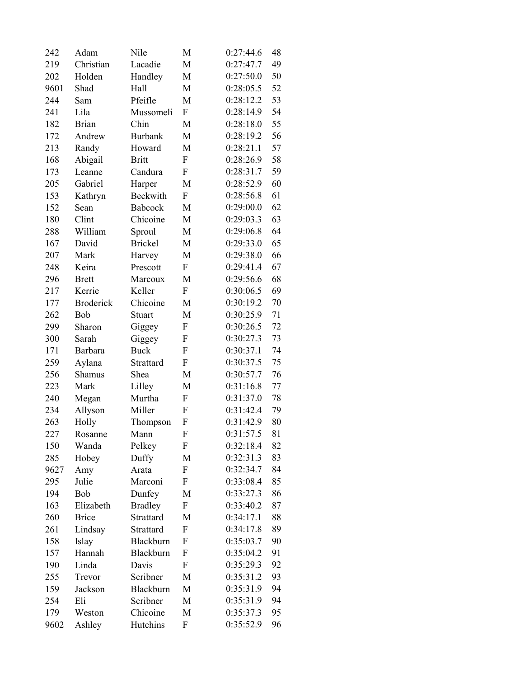| 242  | Adam             | Nile           | M                | 0:27:44.6 | 48 |
|------|------------------|----------------|------------------|-----------|----|
| 219  | Christian        | Lacadie        | M                | 0:27:47.7 | 49 |
| 202  | Holden           | Handley        | M                | 0:27:50.0 | 50 |
| 9601 | Shad             | Hall           | M                | 0:28:05.5 | 52 |
| 244  | Sam              | Pfeifle        | M                | 0:28:12.2 | 53 |
| 241  | Lila             | Mussomeli      | ${\bf F}$        | 0:28:14.9 | 54 |
| 182  | <b>Brian</b>     | Chin           | M                | 0:28:18.0 | 55 |
| 172  | Andrew           | <b>Burbank</b> | M                | 0:28:19.2 | 56 |
| 213  | Randy            | Howard         | $\mathbf M$      | 0:28:21.1 | 57 |
| 168  | Abigail          | <b>Britt</b>   | F                | 0:28:26.9 | 58 |
| 173  | Leanne           | Candura        | F                | 0:28:31.7 | 59 |
| 205  | Gabriel          | Harper         | M                | 0:28:52.9 | 60 |
| 153  | Kathryn          | Beckwith       | F                | 0:28:56.8 | 61 |
| 152  | Sean             | <b>Babcock</b> | M                | 0:29:00.0 | 62 |
| 180  | Clint            | Chicoine       | M                | 0:29:03.3 | 63 |
| 288  | William          | Sproul         | M                | 0:29:06.8 | 64 |
| 167  | David            | <b>Brickel</b> | M                | 0:29:33.0 | 65 |
| 207  | Mark             | Harvey         | M                | 0:29:38.0 | 66 |
| 248  | Keira            | Prescott       | $\boldsymbol{F}$ | 0:29:41.4 | 67 |
| 296  | <b>Brett</b>     | Marcoux        | M                | 0:29:56.6 | 68 |
| 217  | Kerrie           | Keller         | $\boldsymbol{F}$ | 0:30:06.5 | 69 |
| 177  | <b>Broderick</b> | Chicoine       | M                | 0:30:19.2 | 70 |
| 262  | Bob              | Stuart         | M                | 0:30:25.9 | 71 |
| 299  | Sharon           | Giggey         | F                | 0:30:26.5 | 72 |
| 300  | Sarah            | Giggey         | F                | 0:30:27.3 | 73 |
| 171  | <b>Barbara</b>   | <b>Buck</b>    | F                | 0:30:37.1 | 74 |
| 259  | Aylana           | Strattard      | F                | 0:30:37.5 | 75 |
| 256  | Shamus           | Shea           | M                | 0:30:57.7 | 76 |
| 223  | Mark             | Lilley         | M                | 0:31:16.8 | 77 |
| 240  | Megan            | Murtha         | F                | 0:31:37.0 | 78 |
| 234  | Allyson          | Miller         | F                | 0:31:42.4 | 79 |
| 263  | Holly            | Thompson       | F                | 0:31:42.9 | 80 |
| 227  | Rosanne          | Mann           | F                | 0:31:57.5 | 81 |
| 150  | Wanda            | Pelkey         | F                | 0:32:18.4 | 82 |
| 285  | Hobey            | Duffy          | M                | 0:32:31.3 | 83 |
| 9627 | Amy              | Arata          | F                | 0:32:34.7 | 84 |
| 295  | Julie            | Marconi        | F                | 0:33:08.4 | 85 |
| 194  | Bob              | Dunfey         | M                | 0:33:27.3 | 86 |
| 163  | Elizabeth        | <b>Bradley</b> | F                | 0:33:40.2 | 87 |
| 260  | <b>Brice</b>     | Strattard      | M                | 0:34:17.1 | 88 |
| 261  | Lindsay          | Strattard      | F                | 0:34:17.8 | 89 |
| 158  | Islay            | Blackburn      | F                | 0:35:03.7 | 90 |
| 157  | Hannah           | Blackburn      | F                | 0:35:04.2 | 91 |
| 190  | Linda            | Davis          | F                | 0:35:29.3 | 92 |
| 255  | Trevor           | Scribner       | M                | 0:35:31.2 | 93 |
| 159  | Jackson          | Blackburn      | M                | 0:35:31.9 | 94 |
| 254  | Eli              | Scribner       | M                | 0:35:31.9 | 94 |
| 179  | Weston           | Chicoine       | M                | 0:35:37.3 | 95 |
| 9602 | Ashley           | Hutchins       | F                | 0:35:52.9 | 96 |
|      |                  |                |                  |           |    |